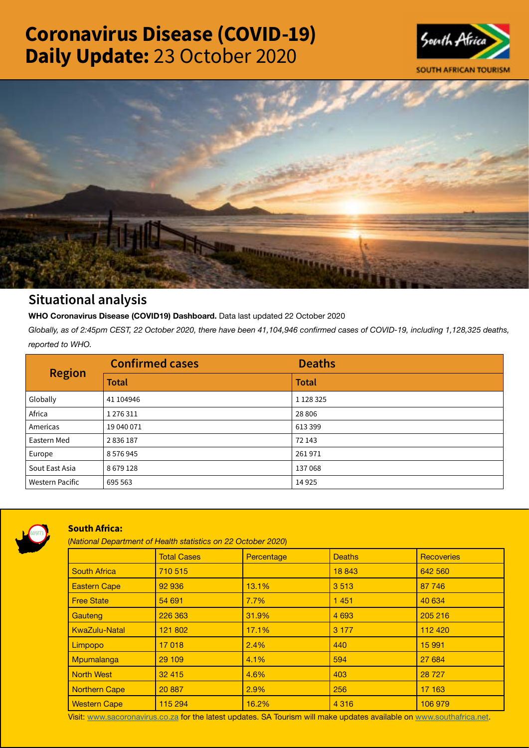# Coronavirus Disease (COVID-19) Daily Update: 23 October 2020





## Situational analysis

**WHO Coronavirus Disease (COVID19) Dashboard.** Data last updated 22 October 2020

*Globally, as of 2:45pm CEST, 22 October 2020, there have been 41,104,946 confirmed cases of COVID-19, including 1,128,325 deaths, reported to WHO.*

| <b>Region</b>          | <b>Confirmed cases</b> | <b>Deaths</b> |
|------------------------|------------------------|---------------|
|                        | <b>Total</b>           | <b>Total</b>  |
| Globally               | 41 104946              | 1 1 28 3 25   |
| Africa                 | 1276311                | 28 8 06       |
| Americas               | 19 040 071             | 613399        |
| Eastern Med            | 2836187                | 72 143        |
| Europe                 | 8576945                | 261971        |
| Sout East Asia         | 8679128                | 137068        |
| <b>Western Pacific</b> | 695 563                | 14 9 25       |



### South Africa:

(*National Department of Health statistics on 22 October 2020*)

|                      | <b>Total Cases</b> | Percentage | <b>Deaths</b> | <b>Recoveries</b> |  |  |
|----------------------|--------------------|------------|---------------|-------------------|--|--|
| <b>South Africa</b>  | 710 515            |            | 18 843        | 642 560           |  |  |
| <b>Eastern Cape</b>  | 92 936             | 13.1%      | 3513          | 87 746            |  |  |
| <b>Free State</b>    | 54 691             | 7.7%       | 1451          | 40 634            |  |  |
| Gauteng              | 226 363            | 31.9%      | 4 6 9 3       | 205 216           |  |  |
| <b>KwaZulu-Natal</b> | 121 802            | 17.1%      | 3 1 7 7       | 112 420           |  |  |
| Limpopo              | 17018              | 2.4%       | 440           | 15 991            |  |  |
| Mpumalanga           | 29 109             | 4.1%       | 594           | 27 684            |  |  |
| <b>North West</b>    | 32 4 15            | 4.6%       | 403           | 28 7 27           |  |  |
| <b>Northern Cape</b> | 20 887             | 2.9%       | 256           | 17 163            |  |  |
| <b>Western Cape</b>  | 115 294            | 16.2%      | 4 3 1 6       | 106 979           |  |  |

Visit: [www.sacoronavirus.co.za](http://www.sacoronavirus.co.za) for the latest updates. SA Tourism will make updates available on [www.southafrica.net.](http://www.southafrica.net)